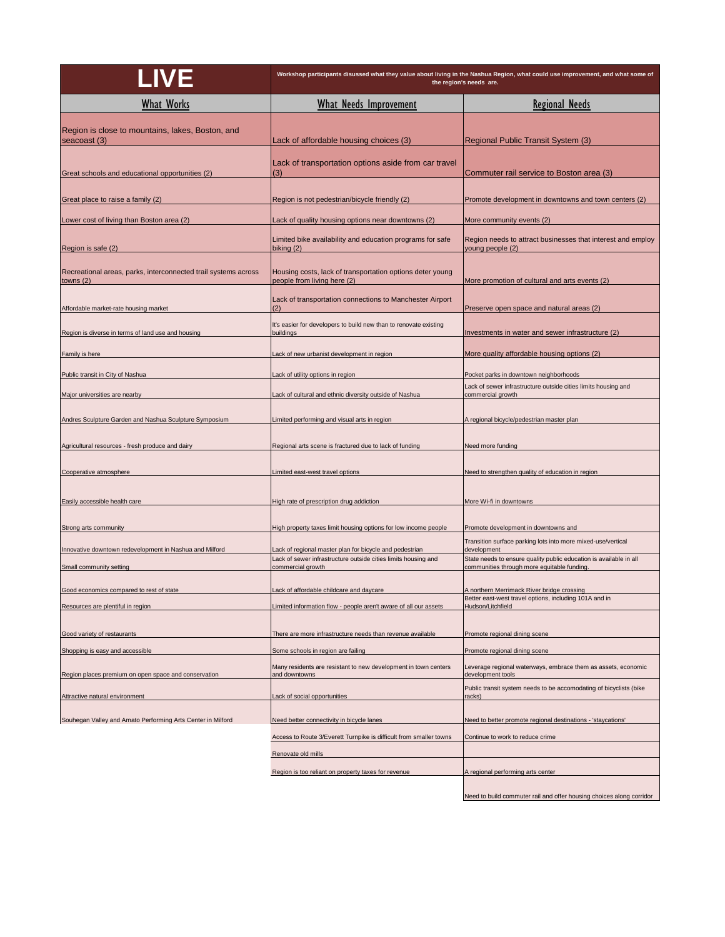| LIVE                                                                          | Workshop participants disussed what they value about living in the Nashua Region, what could use improvement, and what some of<br>the region's needs are. |                                                                                                                   |
|-------------------------------------------------------------------------------|-----------------------------------------------------------------------------------------------------------------------------------------------------------|-------------------------------------------------------------------------------------------------------------------|
| <b>What Works</b>                                                             | <b>What Needs Improvement</b>                                                                                                                             | <b>Regional Needs</b>                                                                                             |
| Region is close to mountains, lakes, Boston, and<br>seacoast (3)              | Lack of affordable housing choices (3)                                                                                                                    | Regional Public Transit System (3)                                                                                |
| Great schools and educational opportunities (2)                               | Lack of transportation options aside from car travel<br>(3)                                                                                               | Commuter rail service to Boston area (3)                                                                          |
| Great place to raise a family (2)                                             | Region is not pedestrian/bicycle friendly (2)                                                                                                             | Promote development in downtowns and town centers (2)                                                             |
| Lower cost of living than Boston area (2)                                     | Lack of quality housing options near downtowns (2)                                                                                                        | More community events (2)                                                                                         |
| Region is safe (2)                                                            | Limited bike availability and education programs for safe<br>biking (2)                                                                                   | Region needs to attract businesses that interest and employ<br>young people (2)                                   |
| Recreational areas, parks, interconnected trail systems across<br>towns $(2)$ | Housing costs, lack of transportation options deter young<br>people from living here (2)                                                                  | More promotion of cultural and arts events (2)                                                                    |
| Affordable market-rate housing market                                         | Lack of transportation connections to Manchester Airport<br>(2)                                                                                           | Preserve open space and natural areas (2)                                                                         |
| Region is diverse in terms of land use and housing                            | It's easier for developers to build new than to renovate existing<br>buildings                                                                            | Investments in water and sewer infrastructure (2)                                                                 |
| Family is here                                                                | Lack of new urbanist development in region                                                                                                                | More quality affordable housing options (2)                                                                       |
| Public transit in City of Nashua                                              | ack of utility options in region                                                                                                                          | Pocket parks in downtown neighborhoods                                                                            |
| Major universities are nearby                                                 | Lack of cultural and ethnic diversity outside of Nashua                                                                                                   | Lack of sewer infrastructure outside cities limits housing and<br>commercial growth                               |
| Andres Sculpture Garden and Nashua Sculpture Symposium                        | Limited performing and visual arts in region                                                                                                              | A regional bicycle/pedestrian master plan                                                                         |
| Agricultural resources - fresh produce and dairy                              | Regional arts scene is fractured due to lack of funding                                                                                                   | Need more funding                                                                                                 |
| Cooperative atmosphere                                                        | Limited east-west travel options                                                                                                                          | Need to strengthen quality of education in region                                                                 |
| Easily accessible health care                                                 | High rate of prescription drug addiction                                                                                                                  | More Wi-fi in downtowns                                                                                           |
| Strong arts community                                                         | High property taxes limit housing options for low income people                                                                                           | Promote development in downtowns and                                                                              |
| Innovative downtown redevelopment in Nashua and Milford                       | Lack of regional master plan for bicycle and pedestrian                                                                                                   | Transition surface parking lots into more mixed-use/vertical<br>development                                       |
| Small community setting                                                       | Lack of sewer infrastructure outside cities limits housing and<br>commercial growth                                                                       | State needs to ensure quality public education is available in all<br>communities through more equitable funding. |
| Good economics compared to rest of state                                      | Lack of affordable childcare and daycare                                                                                                                  | A northern Merrimack River bridge crossing                                                                        |
| Resources are plentiful in region                                             | Limited information flow - people aren't aware of all our assets                                                                                          | Better east-west travel options, including 101A and in<br>Hudson/Litchfield                                       |
| Good variety of restaurants                                                   | There are more infrastructure needs than revenue available                                                                                                | Promote regional dining scene                                                                                     |
| Shopping is easy and accessible                                               | Some schools in region are failing                                                                                                                        | Promote regional dining scene                                                                                     |
| Region places premium on open space and conservation                          | Many residents are resistant to new development in town centers<br>and downtowns                                                                          | Leverage regional waterways, embrace them as assets, economic<br>development tools                                |
| Attractive natural environment                                                | Lack of social opportunities                                                                                                                              | Public transit system needs to be accomodating of bicyclists (bike<br>racks)                                      |
| Souhegan Valley and Amato Performing Arts Center in Milford                   | Need better connectivity in bicycle lanes                                                                                                                 | Need to better promote regional destinations - 'staycations'                                                      |
|                                                                               | Access to Route 3/Everett Turnpike is difficult from smaller towns                                                                                        | Continue to work to reduce crime                                                                                  |
|                                                                               | Renovate old mills                                                                                                                                        |                                                                                                                   |
|                                                                               | Region is too reliant on property taxes for revenue                                                                                                       | A regional performing arts center                                                                                 |
|                                                                               |                                                                                                                                                           | Need to build commuter rail and offer housing choices along corridor                                              |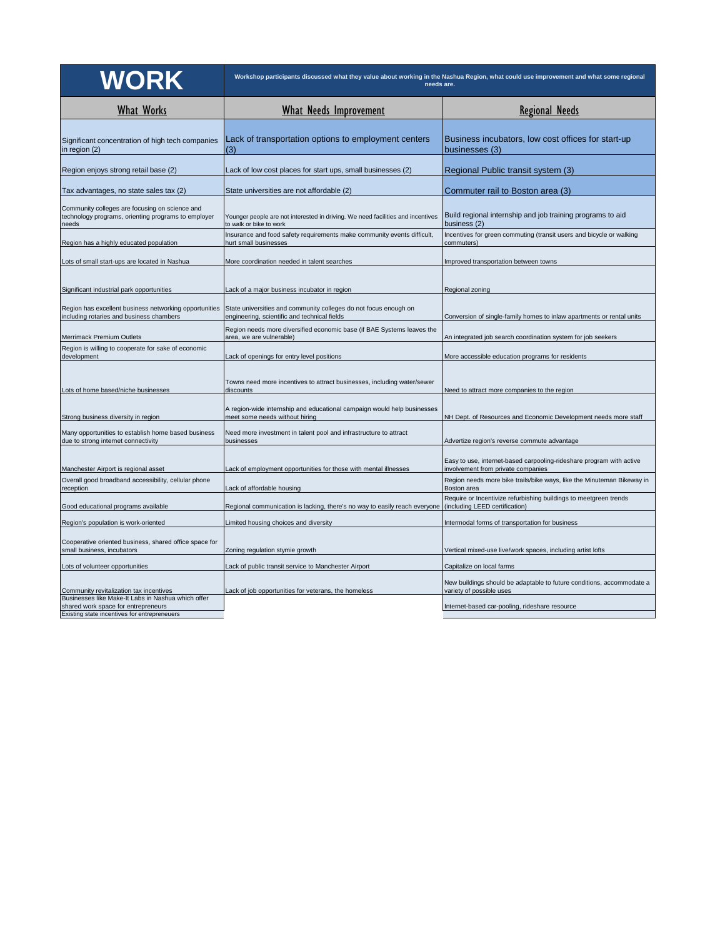| <b>WORK</b>                                                                                                                               | Workshop participants discussed what they value about working in the Nashua Region, what could use improvement and what some regional<br>needs are. |                                                                                                            |
|-------------------------------------------------------------------------------------------------------------------------------------------|-----------------------------------------------------------------------------------------------------------------------------------------------------|------------------------------------------------------------------------------------------------------------|
| <b>What Works</b>                                                                                                                         | <b>What Needs Improvement</b>                                                                                                                       | <b>Regional Needs</b>                                                                                      |
| Significant concentration of high tech companies<br>in region (2)                                                                         | Lack of transportation options to employment centers<br>(3)                                                                                         | Business incubators, low cost offices for start-up<br>businesses (3)                                       |
| Region enjoys strong retail base (2)                                                                                                      | Lack of low cost places for start ups, small businesses (2)                                                                                         | Regional Public transit system (3)                                                                         |
| Tax advantages, no state sales tax (2)                                                                                                    | State universities are not affordable (2)                                                                                                           | Commuter rail to Boston area (3)                                                                           |
| Community colleges are focusing on science and<br>technology programs, orienting programs to employer<br>needs                            | Younger people are not interested in driving. We need facilities and incentives<br>to walk or bike to work                                          | Build regional internship and job training programs to aid<br>business (2)                                 |
| Region has a highly educated population                                                                                                   | Insurance and food safety requirements make community events difficult,<br>hurt small businesses                                                    | Incentives for green commuting (transit users and bicycle or walking<br>commuters)                         |
| Lots of small start-ups are located in Nashua                                                                                             | More coordination needed in talent searches                                                                                                         | Improved transportation between towns                                                                      |
| Significant industrial park opportunities                                                                                                 | Lack of a major business incubator in region                                                                                                        | Regional zoning                                                                                            |
| Region has excellent business networking opportunities<br>including rotaries and business chambers                                        | State universities and community colleges do not focus enough on<br>engineering, scientific and technical fields                                    | Conversion of single-family homes to inlaw apartments or rental units                                      |
| Merrimack Premium Outlets                                                                                                                 | Region needs more diversified economic base (if BAE Systems leaves the<br>area, we are vulnerable)                                                  | An integrated job search coordination system for job seekers                                               |
| Region is willing to cooperate for sake of economic<br>development                                                                        | Lack of openings for entry level positions                                                                                                          | More accessible education programs for residents                                                           |
| Lots of home based/niche businesses                                                                                                       | Towns need more incentives to attract businesses, including water/sewer<br>discounts                                                                | Need to attract more companies to the region                                                               |
| Strong business diversity in region                                                                                                       | A region-wide internship and educational campaign would help businesses<br>meet some needs without hiring                                           | NH Dept. of Resources and Economic Development needs more staff                                            |
| Many opportunities to establish home based business<br>due to strong internet connectivity                                                | Need more investment in talent pool and infrastructure to attract<br>businesses                                                                     | Advertize region's reverse commute advantage                                                               |
| Manchester Airport is regional asset                                                                                                      | Lack of employment opportunities for those with mental illnesses                                                                                    | Easy to use, internet-based carpooling-rideshare program with active<br>involvement from private companies |
| Overall good broadband accessibility, cellular phone<br>reception                                                                         | Lack of affordable housing                                                                                                                          | Region needs more bike trails/bike ways, like the Minuteman Bikeway in<br>Boston area                      |
| Good educational programs available                                                                                                       | Regional communication is lacking, there's no way to easily reach everyone                                                                          | Require or Incentivize refurbishing buildings to meetgreen trends<br>(including LEED certification)        |
| Region's population is work-oriented                                                                                                      | Limited housing choices and diversity                                                                                                               | Intermodal forms of transportation for business                                                            |
| Cooperative oriented business, shared office space for<br>small business, incubators                                                      | Zoning regulation stymie growth                                                                                                                     | Vertical mixed-use live/work spaces, including artist lofts                                                |
| Lots of volunteer opportunities                                                                                                           | Lack of public transit service to Manchester Airport                                                                                                | Capitalize on local farms                                                                                  |
| Community revitalization tax incentives                                                                                                   | Lack of job opportunities for veterans, the homeless                                                                                                | New buildings should be adaptable to future conditions, accommodate a<br>variety of possible uses          |
| Businesses like Make-It Labs in Nashua which offer<br>shared work space for entrepreneurs<br>Existing state incentives for entrepreneuers |                                                                                                                                                     | Internet-based car-pooling, rideshare resource                                                             |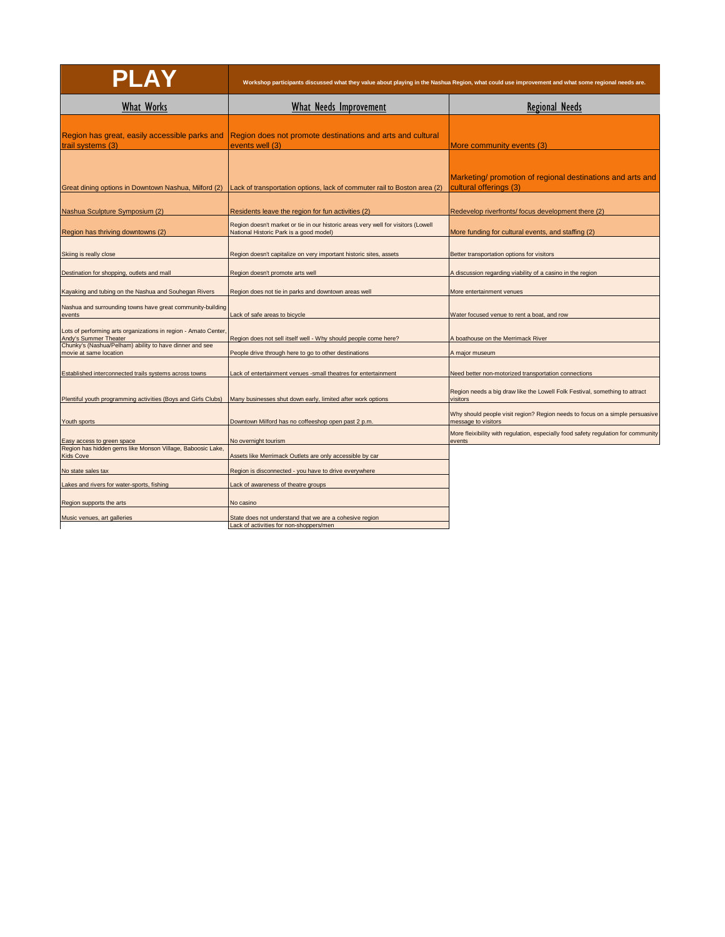| PLAY                                                                                     | Workshop participants discussed what they value about playing in the Nashua Region, what could use improvement and what some regional needs are. |                                                                                                     |
|------------------------------------------------------------------------------------------|--------------------------------------------------------------------------------------------------------------------------------------------------|-----------------------------------------------------------------------------------------------------|
| <b>What Works</b>                                                                        | <b>What Needs Improvement</b>                                                                                                                    | <b>Regional Needs</b>                                                                               |
| Region has great, easily accessible parks and<br>trail systems (3)                       | Region does not promote destinations and arts and cultural<br>events well (3)                                                                    | More community events (3)                                                                           |
| Great dining options in Downtown Nashua, Milford (2)                                     | Lack of transportation options, lack of commuter rail to Boston area (2)                                                                         | Marketing/ promotion of regional destinations and arts and<br>cultural offerings (3)                |
| Nashua Sculpture Symposium (2)                                                           | Residents leave the region for fun activities (2)                                                                                                | Redevelop riverfronts/ focus development there (2)                                                  |
| Region has thriving downtowns (2)                                                        | Region doesn't market or tie in our historic areas very well for visitors (Lowell<br>National Historic Park is a good model)                     | More funding for cultural events, and staffing (2)                                                  |
| Skiing is really close                                                                   | Region doesn't capitalize on very important historic sites, assets                                                                               | Better transportation options for visitors                                                          |
| Destination for shopping, outlets and mall                                               | Region doesn't promote arts well                                                                                                                 | A discussion regarding viability of a casino in the region                                          |
| Kayaking and tubing on the Nashua and Souhegan Rivers                                    | Region does not tie in parks and downtown areas well                                                                                             | More entertainment venues                                                                           |
| Nashua and surrounding towns have great community-building<br>events                     | Lack of safe areas to bicycle                                                                                                                    | Water focused venue to rent a boat, and row                                                         |
| Lots of performing arts organizations in region - Amato Center,<br>Andy's Summer Theater | Region does not sell itself well - Why should people come here?                                                                                  | A boathouse on the Merrimack River                                                                  |
| Chunky's (Nashua/Pelham) ability to have dinner and see<br>movie at same location        | People drive through here to go to other destinations                                                                                            | A major museum                                                                                      |
| Established interconnected trails systems across towns                                   | Lack of entertainment venues -small theatres for entertainment                                                                                   | Need better non-motorized transportation connections                                                |
| Plentiful youth programming activities (Boys and Girls Clubs)                            | Many businesses shut down early, limited after work options                                                                                      | Region needs a big draw like the Lowell Folk Festival, something to attract<br>visitors             |
| Youth sports                                                                             | Downtown Milford has no coffeeshop open past 2 p.m.                                                                                              | Why should people visit region? Region needs to focus on a simple persuasive<br>message to visitors |
| Easy access to green space                                                               | No overnight tourism                                                                                                                             | More fleixibility with regulation, especially food safety regulation for community<br>events        |
| Region has hidden gems like Monson Village, Baboosic Lake,<br><b>Kids Cove</b>           | Assets like Merrimack Outlets are only accessible by car                                                                                         |                                                                                                     |
| No state sales tax                                                                       | Region is disconnected - you have to drive everywhere                                                                                            |                                                                                                     |
| Lakes and rivers for water-sports, fishing                                               | Lack of awareness of theatre groups                                                                                                              |                                                                                                     |
| Region supports the arts                                                                 | No casino                                                                                                                                        |                                                                                                     |
| Music venues, art galleries                                                              | State does not understand that we are a cohesive region<br>Lack of activities for non-shoppers/men                                               |                                                                                                     |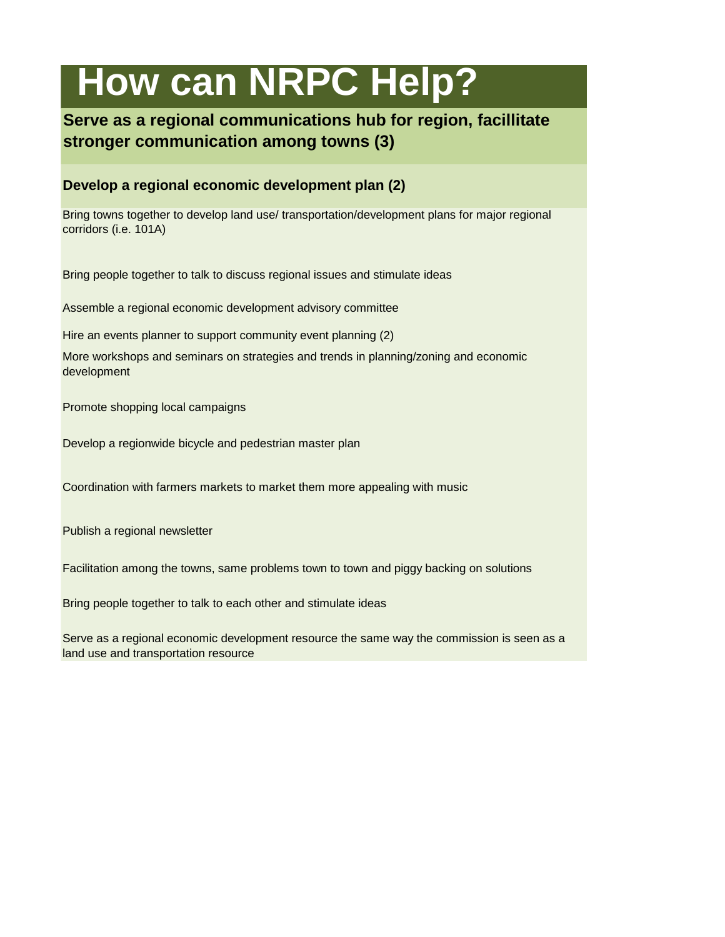# **How can NRPC Help?**

### **Serve as a regional communications hub for region, facillitate stronger communication among towns (3)**

#### **Develop a regional economic development plan (2)**

Bring towns together to develop land use/ transportation/development plans for major regional corridors (i.e. 101A)

Bring people together to talk to discuss regional issues and stimulate ideas

Assemble a regional economic development advisory committee

Hire an events planner to support community event planning (2)

More workshops and seminars on strategies and trends in planning/zoning and economic development

Promote shopping local campaigns

Develop a regionwide bicycle and pedestrian master plan

Coordination with farmers markets to market them more appealing with music

Publish a regional newsletter

Facilitation among the towns, same problems town to town and piggy backing on solutions

Bring people together to talk to each other and stimulate ideas

Serve as a regional economic development resource the same way the commission is seen as a land use and transportation resource